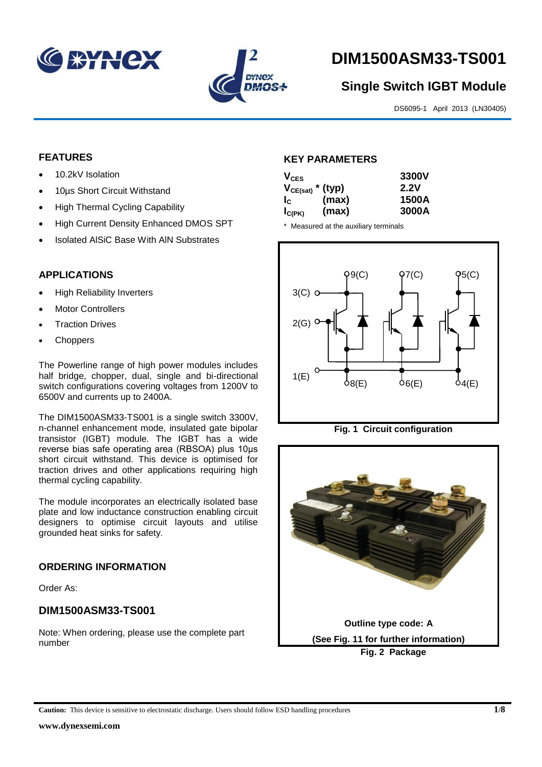



# **DIM1500ASM33-TS001**

# **Single Switch IGBT Module**

DS6095-1 April 2013 (LN30405)

# **FEATURES**

- 10.2kV Isolation
- 10us Short Circuit Withstand
- High Thermal Cycling Capability
- High Current Density Enhanced DMOS SPT
- Isolated AlSiC Base With AlN Substrates

# **APPLICATIONS**

- High Reliability Inverters
- Motor Controllers
- Traction Drives
- Choppers

The Powerline range of high power modules includes half bridge, chopper, dual, single and bi-directional switch configurations covering voltages from 1200V to 6500V and currents up to 2400A.

The DIM1500ASM33-TS001 is a single switch 3300V, n-channel enhancement mode, insulated gate bipolar transistor (IGBT) module. The IGBT has a wide reverse bias safe operating area (RBSOA) plus 10μs short circuit withstand. This device is optimised for traction drives and other applications requiring high thermal cycling capability.

The module incorporates an electrically isolated base plate and low inductance construction enabling circuit designers to optimise circuit layouts and utilise grounded heat sinks for safety.

# **ORDERING INFORMATION**

Order As:

# **DIM1500ASM33-TS001**

Note: When ordering, please use the complete part number

# **KEY PARAMETERS**

| $V_{CES}$             |       | 3300V |
|-----------------------|-------|-------|
| $V_{CE(sat)}$ * (typ) |       | 2.2V  |
| $I_{\rm C}$           | (max) | 1500A |
| $I_{C(PK)}$           | (max) | 3000A |

\* Measured at the auxiliary terminals







**Caution:** This device is sensitive to electrostatic discharge. Users should follow ESD handling procedures **1/8**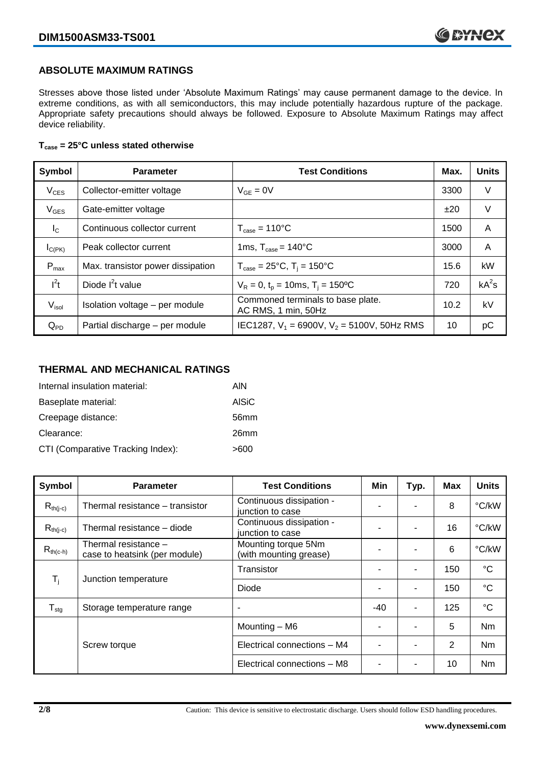# **ABSOLUTE MAXIMUM RATINGS**

Stresses above those listed under 'Absolute Maximum Ratings' may cause permanent damage to the device. In extreme conditions, as with all semiconductors, this may include potentially hazardous rupture of the package. Appropriate safety precautions should always be followed. Exposure to Absolute Maximum Ratings may affect device reliability.

### **Tcase = 25°C unless stated otherwise**

| Symbol            | <b>Parameter</b>                  | <b>Test Conditions</b>                                   | Max. | <b>Units</b> |
|-------------------|-----------------------------------|----------------------------------------------------------|------|--------------|
| $V_{CES}$         | Collector-emitter voltage         | $V_{GF} = 0V$                                            | 3300 | V            |
| $V_{GES}$         | Gate-emitter voltage              |                                                          | ±20  | V            |
| $I_{\rm C}$       | Continuous collector current      | $T_{\text{case}} = 110^{\circ}C$                         | 1500 | A            |
| $I_{C(PK)}$       | Peak collector current            | 1ms, $T_{\text{case}} = 140^{\circ}$ C                   | 3000 | A            |
| $P_{max}$         | Max. transistor power dissipation | $T_{\text{case}} = 25^{\circ}C$ , $T_i = 150^{\circ}C$   | 15.6 | kW           |
| $I^2t$            | Diode $I^2t$ value                | $V_R = 0$ , $t_p = 10$ ms, $T_i = 150$ <sup>o</sup> C    | 720  | $kA^2s$      |
| V <sub>isol</sub> | Isolation voltage - per module    | Commoned terminals to base plate.<br>AC RMS, 1 min, 50Hz | 10.2 | kV           |
| $Q_{PD}$          | Partial discharge - per module    | IEC1287, $V_1$ = 6900V, $V_2$ = 5100V, 50Hz RMS          | 10   | рC           |

# **THERMAL AND MECHANICAL RATINGS**

| Internal insulation material:     | AIN          |
|-----------------------------------|--------------|
| Baseplate material:               | <b>AISiC</b> |
| Creepage distance:                | 56mm         |
| Clearance:                        | 26mm         |
| CTI (Comparative Tracking Index): | >600         |

| Symbol                     | <b>Parameter</b>                                      | <b>Test Conditions</b>                        | Min | Typ.           | Max | <b>Units</b>    |
|----------------------------|-------------------------------------------------------|-----------------------------------------------|-----|----------------|-----|-----------------|
| $R_{th(j-c)}$              | Thermal resistance – transistor                       | Continuous dissipation -<br>junction to case  |     |                | 8   | °C/kW           |
| $R_{th(i-c)}$              | Thermal resistance - diode                            | Continuous dissipation -<br>junction to case  |     |                | 16  | °C/kW           |
| $R_{th(c-h)}$              | Thermal resistance -<br>case to heatsink (per module) | Mounting torque 5Nm<br>(with mounting grease) | ٠   |                | 6   | °C/kW           |
| $\mathsf{T}_{\mathsf{i}}$  | Junction temperature                                  | Transistor                                    |     | $\blacksquare$ | 150 | $^{\circ}C$     |
|                            |                                                       | Diode                                         | ٠   |                | 150 | $\rm ^{\circ}C$ |
| ${\mathsf T}_{\text{stg}}$ | Storage temperature range                             | $\overline{\phantom{a}}$                      | -40 | $\blacksquare$ | 125 | $^{\circ}C$     |
|                            |                                                       | Mounting - M6                                 |     |                | 5   | Nm              |
|                            | Screw torque                                          | Electrical connections - M4                   |     |                | 2   | Nm              |
|                            |                                                       | Electrical connections - M8                   |     |                | 10  | Nm              |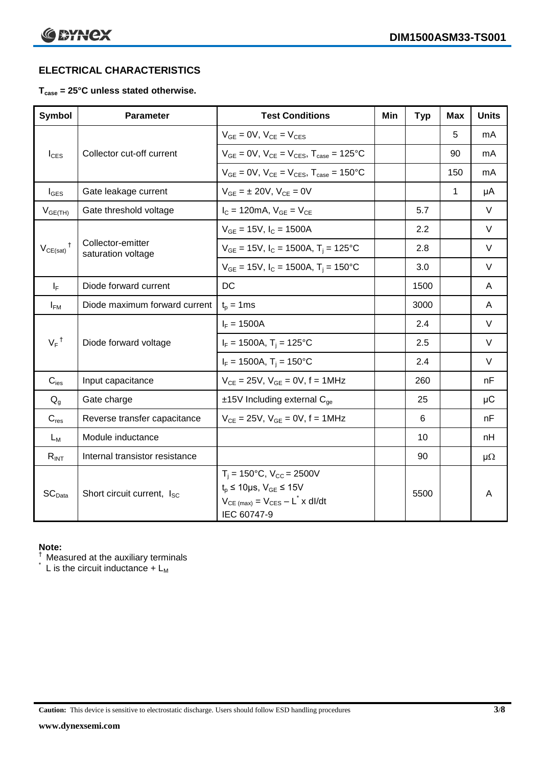# **ELECTRICAL CHARACTERISTICS**

# **Tcase = 25°C unless stated otherwise.**

| <b>Symbol</b>              | <b>Parameter</b>                        | <b>Test Conditions</b>                                                                                                                                   | Min | <b>Typ</b> | Max | <b>Units</b> |
|----------------------------|-----------------------------------------|----------------------------------------------------------------------------------------------------------------------------------------------------------|-----|------------|-----|--------------|
|                            | Collector cut-off current               | $V_{GE} = 0V$ , $V_{CE} = V_{CES}$                                                                                                                       |     |            | 5   | mA           |
| $I_{\text{CES}}$           |                                         | $V_{GF} = 0V$ , $V_{CE} = V_{CES}$ , $T_{case} = 125$ °C                                                                                                 |     |            | 90  | mA           |
|                            |                                         | $V_{GF} = 0V$ , $V_{CF} = V_{CES}$ , $T_{case} = 150^{\circ}C$                                                                                           |     |            | 150 | mA           |
| $I_{\text{GES}}$           | Gate leakage current                    | $V_{GE} = \pm 20V$ , $V_{CE} = 0V$                                                                                                                       |     |            | 1   | μA           |
| $V_{GE(TH)}$               | Gate threshold voltage                  | $I_{C} = 120 \text{mA}, V_{GE} = V_{CE}$                                                                                                                 |     | 5.7        |     | $\vee$       |
|                            |                                         | $V_{GF}$ = 15V, $I_C$ = 1500A                                                                                                                            |     | 2.2        |     | $\vee$       |
| $V_{CE(sat)}$ <sup>†</sup> | Collector-emitter<br>saturation voltage | $V_{GE}$ = 15V, $I_C$ = 1500A, $T_i$ = 125°C                                                                                                             |     | 2.8        |     | $\vee$       |
|                            |                                         | $V_{GE}$ = 15V, $I_C$ = 1500A, $T_i$ = 150°C                                                                                                             |     | 3.0        |     | $\vee$       |
| $I_F$                      | Diode forward current                   | DC                                                                                                                                                       |     | 1500       |     | A            |
| $I_{FM}$                   | Diode maximum forward current           | $t_p = 1$ ms                                                                                                                                             |     | 3000       |     | A            |
|                            |                                         | $I_F = 1500A$                                                                                                                                            |     | 2.4        |     | $\vee$       |
| $V_F$ <sup>†</sup>         | Diode forward voltage                   | $I_F = 1500A$ , $T_i = 125^{\circ}C$                                                                                                                     |     | 2.5        |     | $\vee$       |
|                            |                                         | $I_F = 1500A$ , $T_i = 150^{\circ}C$                                                                                                                     |     | 2.4        |     | $\vee$       |
| $C_{\text{ies}}$           | Input capacitance                       | $V_{CE} = 25V$ , $V_{GE} = 0V$ , $f = 1MHz$                                                                                                              |     | 260        |     | nF           |
| $Q_q$                      | Gate charge                             | $±15V$ Including external $C_{qe}$                                                                                                                       |     | 25         |     | $\mu$ C      |
| $C_{res}$                  | Reverse transfer capacitance            | $V_{CE} = 25V$ , $V_{GE} = 0V$ , $f = 1MHz$                                                                                                              |     | 6          |     | nF           |
| $L_M$                      | Module inductance                       |                                                                                                                                                          |     | 10         |     | nH           |
| $R_{INT}$                  | Internal transistor resistance          |                                                                                                                                                          |     | 90         |     | $\mu\Omega$  |
| SC <sub>Data</sub>         | Short circuit current, I <sub>SC</sub>  | $T_i = 150^{\circ}C$ , $V_{CC} = 2500V$<br>$t_p \le 10 \mu s$ , $V_{GE} \le 15V$<br>$V_{CE \ (max)} = V_{CES} - L^{\dagger} \times dl/dt$<br>IEC 60747-9 |     | 5500       |     | A            |

## **Note:**

 $\dagger$  Measured at the auxiliary terminals

 $\check{}$  L is the circuit inductance + L<sub>M</sub>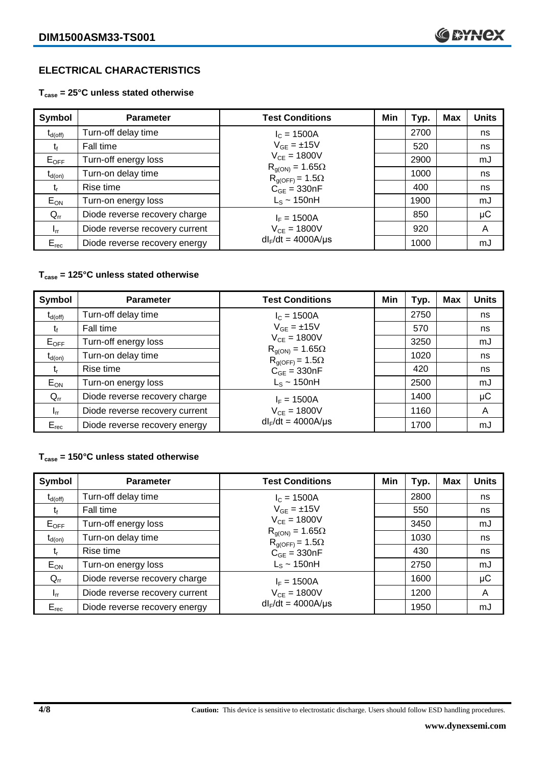# **ELECTRICAL CHARACTERISTICS**

**Tcase = 25°C unless stated otherwise**

| Symbol              | <b>Parameter</b>               | <b>Test Conditions</b>                               | Min | Typ. | <b>Max</b> | <b>Units</b> |
|---------------------|--------------------------------|------------------------------------------------------|-----|------|------------|--------------|
| $t_{d(\text{off})}$ | Turn-off delay time            | $I_c = 1500A$                                        |     | 2700 |            | ns           |
| t                   | Fall time                      | $V_{GF} = \pm 15V$                                   |     | 520  |            | ns           |
| $E_{OFF}$           | Turn-off energy loss           | $V_{CE} = 1800V$                                     |     | 2900 |            | mJ           |
| $t_{d(on)}$         | Turn-on delay time             | $R_{q(ON)} = 1.65\Omega$<br>$R_{g(OFF)} = 1.5\Omega$ |     | 1000 |            | ns           |
| t,                  | Rise time                      | $C_{GE} = 330nF$                                     |     | 400  |            | ns           |
| $E_{ON}$            | Turn-on energy loss            | $L_s \sim 150$ nH                                    |     | 1900 |            | mJ           |
| $Q_{rr}$            | Diode reverse recovery charge  | $I_F = 1500A$                                        |     | 850  |            | $\mu$ C      |
| $I_{rr}$            | Diode reverse recovery current | $V_{CE} = 1800V$                                     |     | 920  |            | A            |
| $E_{rec}$           | Diode reverse recovery energy  | $dl_F/dt = 4000A/\mu s$                              |     | 1000 |            | mJ           |

# **Tcase = 125°C unless stated otherwise**

| Symbol                         | <b>Parameter</b>               | <b>Test Conditions</b>                               | Min | Typ. | <b>Max</b> | <b>Units</b> |
|--------------------------------|--------------------------------|------------------------------------------------------|-----|------|------------|--------------|
| $\mathfrak{r}_{\text{d(off)}}$ | Turn-off delay time            | $I_c = 1500A$                                        |     | 2750 |            | ns           |
| t,                             | Fall time                      | $V_{GE} = \pm 15V$                                   |     | 570  |            | ns           |
| $E_{OFF}$                      | Turn-off energy loss           | $V_{CE} = 1800V$                                     |     | 3250 |            | mJ           |
| $t_{d(on)}$                    | Turn-on delay time             | $R_{g(ON)} = 1.65\Omega$<br>$R_{q(OFF)} = 1.5\Omega$ |     | 1020 |            | ns           |
| t,                             | Rise time                      | $C_{GE} = 330nF$                                     |     | 420  |            | ns           |
| $E_{ON}$                       | Turn-on energy loss            | $L_s \sim 150$ nH                                    |     | 2500 |            | mJ           |
| $Q_{rr}$                       | Diode reverse recovery charge  | $I_F = 1500A$                                        |     | 1400 |            | μC           |
| $I_{rr}$                       | Diode reverse recovery current | $V_{CE} = 1800V$                                     |     | 1160 |            | A            |
| $E_{rec}$                      | Diode reverse recovery energy  | $dl_F/dt = 4000A/\mu s$                              |     | 1700 |            | mJ           |

# **Tcase = 150°C unless stated otherwise**

| Symbol       | <b>Parameter</b>               | <b>Test Conditions</b>                               | Min | Typ. | <b>Max</b> | <b>Units</b> |
|--------------|--------------------------------|------------------------------------------------------|-----|------|------------|--------------|
| $t_{d(off)}$ | Turn-off delay time            | $I_c = 1500A$                                        |     | 2800 |            | ns           |
| tr           | Fall time                      | $V_{GF} = \pm 15V$                                   |     | 550  |            | ns           |
| $E_{OFF}$    | Turn-off energy loss           | $V_{CF} = 1800V$                                     |     | 3450 |            | mJ           |
| $t_{d(on)}$  | Turn-on delay time             | $R_{g(ON)} = 1.65\Omega$<br>$R_{g(OFF)} = 1.5\Omega$ |     | 1030 |            | ns           |
| $t_{r}$      | Rise time                      | $C_{GE} = 330nF$                                     |     | 430  |            | ns           |
| $E_{ON}$     | Turn-on energy loss            | $L_s \sim 150$ nH                                    |     | 2750 |            | mJ           |
| $Q_{rr}$     | Diode reverse recovery charge  | $I_F = 1500A$                                        |     | 1600 |            | μC           |
| $I_{rr}$     | Diode reverse recovery current | $V_{CE} = 1800V$                                     |     | 1200 |            | A            |
| $E_{rec}$    | Diode reverse recovery energy  | $dl_F/dt = 4000A/\mu s$                              |     | 1950 |            | mJ           |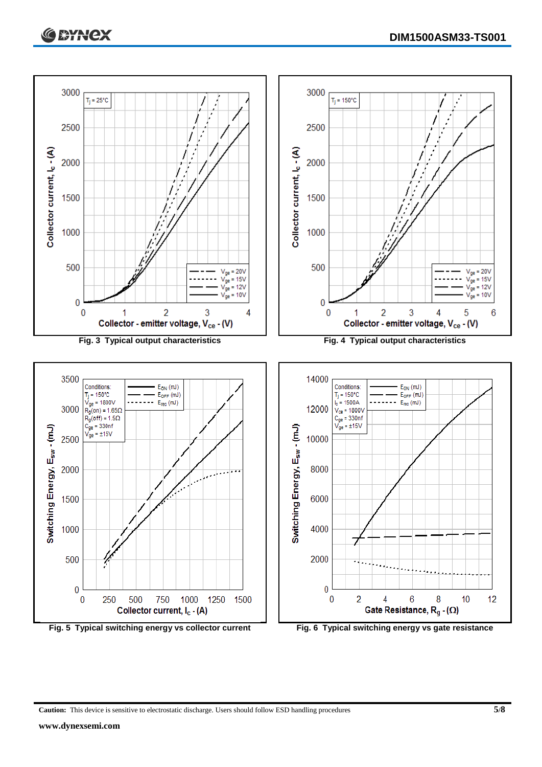



**Caution:** This device is sensitive to electrostatic discharge. Users should follow ESD handling procedures **5/8**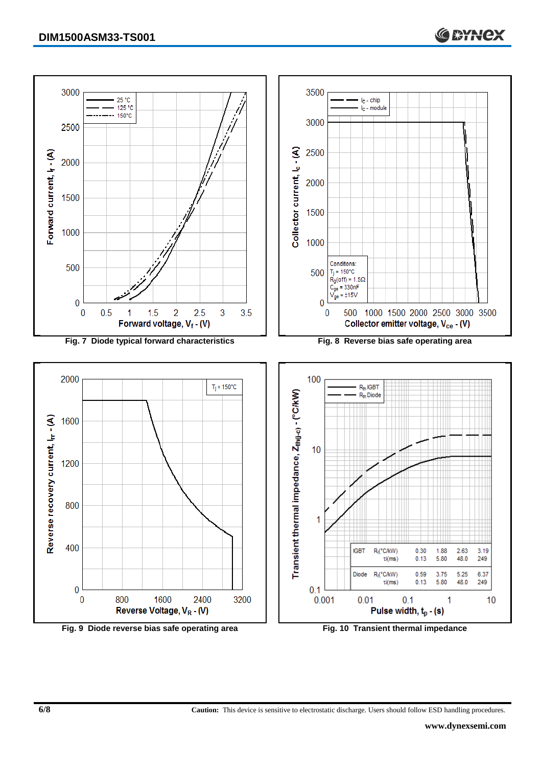

**Fig. 9 Diode reverse bias safe operating area Fig. 10 Transient thermal impedance**

**C SYNCX**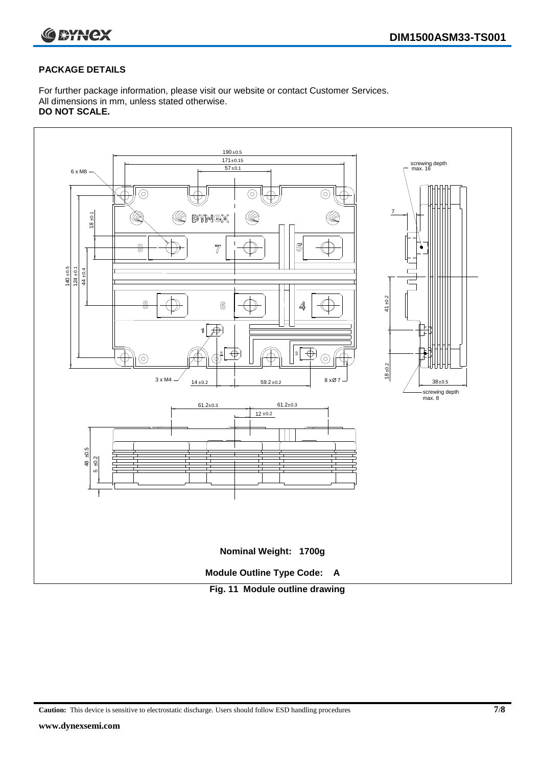

# **PACKAGE DETAILS**

For further package information, please visit our website or contact Customer Services. All dimensions in mm, unless stated otherwise. **DO NOT SCALE.**



**Caution:** This device is sensitive to electrostatic discharge. Users should follow ESD handling procedures **7/8**